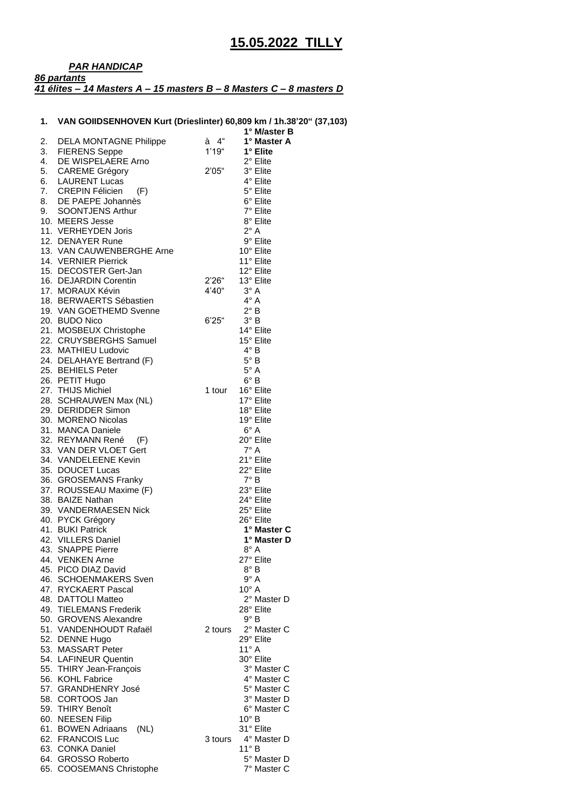## *PAR HANDICAP 86 partants 41 élites – 14 Masters A – 15 masters B – 8 Masters C – 8 masters D*

## **1. VAN GOIIDSENHOVEN Kurt (Drieslinter) 60,809 km / 1h.38'20" (37,103)**

|    |                                             | . ,          | 1° M/aster B               |
|----|---------------------------------------------|--------------|----------------------------|
| 2. | DELA MONTAGNE Philippe                      | $\dot{a}$ 4" | 1° Master A                |
|    | 3. FIERENS Seppe                            | 1'19''       | 1° Elite                   |
| 4. | DE WISPELAERE Arno                          |              | 2° Elite                   |
|    | 5. CAREME Grégory                           | 2'05"        | 3° Elite                   |
| 6. | <b>LAURENT Lucas</b>                        |              | 4° Elite                   |
| 7. | <b>CREPIN Félicien</b><br>(F)               |              | 5° Elite                   |
|    | 8. DE PAEPE Johannès                        |              | 6° Elite                   |
| 9. | <b>SOONTJENS Arthur</b>                     |              | 7° Elite                   |
|    | 10. MEERS Jesse                             |              | 8° Elite                   |
|    | 11. VERHEYDEN Joris                         |              | $2^{\circ}$ A              |
|    | 12. DENAYER Rune                            |              | 9° Elite                   |
|    | 13. VAN CAUWENBERGHE Arne                   |              | 10° Elite                  |
|    | 14. VERNIER Pierrick                        |              | 11° Elite                  |
|    | 15. DECOSTER Gert-Jan                       |              | 12° Elite                  |
|    | 16. DEJARDIN Corentin                       | 2'26''       | 13° Elite                  |
|    | 17. MORAUX Kévin                            | 4'40"        | $3^\circ A$                |
|    | 18. BERWAERTS Sébastien                     |              | $4^\circ A$                |
|    | 19. VAN GOETHEMD Svenne                     |              | $2^{\circ}$ B              |
|    | 20. BUDO Nico                               | 6'25"        | $3^\circ B$                |
|    | 21. MOSBEUX Christophe                      |              | 14° Elite                  |
|    | 22. CRUYSBERGHS Samuel                      |              | 15° Elite                  |
|    | 23. MATHIEU Ludovic                         |              | $4^\circ B$                |
|    | 24. DELAHAYE Bertrand (F)                   |              | $5^\circ$ B                |
|    | 25. BEHIELS Peter                           |              | $5^\circ$ A                |
|    | 26. PETIT Hugo                              |              | $6^\circ B$                |
|    | 27. THIJS Michiel                           | 1 tour       | 16° Elite                  |
|    | 28. SCHRAUWEN Max (NL)                      |              | 17° Elite                  |
|    | 29. DERIDDER Simon                          |              | 18° Elite                  |
|    | 30. MORENO Nicolas                          |              | 19° Elite                  |
|    | 31. MANCA Daniele                           |              | $6^\circ$ A                |
|    | 32. REYMANN René (F)                        |              | 20° Elite                  |
|    | 33. VAN DER VLOET Gert                      |              | $7^\circ$ A                |
|    | 34. VANDELEENE Kevin                        |              | 21° Elite                  |
|    | 35. DOUCET Lucas                            |              | 22° Elite                  |
|    | 36. GROSEMANS Franky                        |              | $7^\circ$ B                |
|    | 37. ROUSSEAU Maxime (F)<br>38. BAIZE Nathan |              | 23° Elite<br>24° Elite     |
|    | 39. VANDERMAESEN Nick                       |              | 25° Elite                  |
|    | 40. PYCK Grégory                            |              | 26° Elite                  |
|    | 41. BUKI Patrick                            |              | 1° Master C                |
|    | 42. VILLERS Daniel                          |              | 1° Master D                |
|    | 43. SNAPPE Pierre                           |              | $8^\circ$ A                |
|    | 44. VENKEN Arne                             |              | 27° Elite                  |
|    | 45. PICO DIAZ David                         |              | $8^{\circ}$ B              |
|    | 46. SCHOENMAKERS Sven                       |              | $9^\circ A$                |
|    | 47. RYCKAERT Pascal                         |              | $10^{\circ}$ A             |
|    | 48. DATTOLI Matteo                          |              | 2° Master D                |
|    | 49. TIELEMANS Frederik                      |              | 28° Elite                  |
|    | 50. GROVENS Alexandre                       |              | 9° B                       |
|    | 51. VANDENHOUDT Rafaël                      | 2 tours      | 2° Master C                |
|    | 52. DENNE Hugo                              |              | 29° Elite                  |
|    | 53. MASSART Peter                           |              | $11^{\circ}$ A             |
|    | 54. LAFINEUR Quentin                        |              | 30° Elite                  |
|    | 55. THIRY Jean-François                     |              | 3° Master C                |
|    | 56. KOHL Fabrice                            |              | 4° Master C                |
|    | 57. GRANDHENRY José                         |              | 5° Master C                |
|    | 58. CORTOOS Jan                             |              | 3° Master D                |
|    | 59. THIRY Benoît                            |              | 6° Master C                |
|    | 60. NEESEN Filip                            |              | $10^{\circ}$ B             |
|    | 61. BOWEN Adriaans<br>(NL)                  |              | 31° Elite                  |
|    | 62. FRANCOIS Luc                            | 3 tours      | 4° Master D                |
|    | 63. CONKA Daniel<br>64. GROSSO Roberto      |              | $11^{\circ}$ B             |
|    | 65. COOSEMANS Christophe                    |              | 5° Master D<br>7° Master C |
|    |                                             |              |                            |